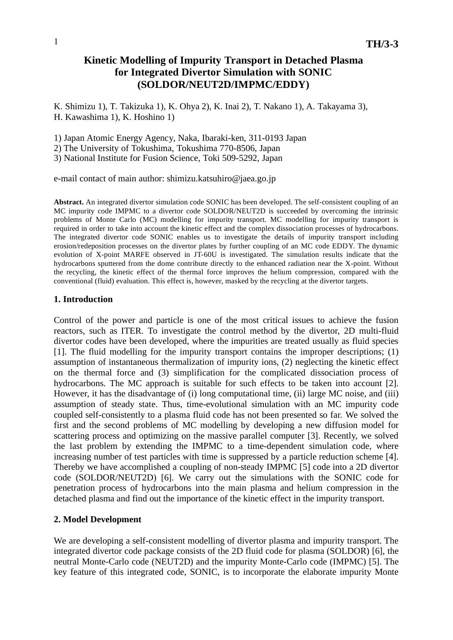# **Kinetic Modelling of Impurity Transport in Detached Plasma for Integrated Divertor Simulation with SONIC (SOLDOR/NEUT2D/IMPMC/EDDY)**

K. Shimizu 1), T. Takizuka 1), K. Ohya 2), K. Inai 2), T. Nakano 1), A. Takayama 3), H. Kawashima 1), K. Hoshino 1)

1) Japan Atomic Energy Agency, Naka, Ibaraki-ken, 311-0193 Japan

2) The University of Tokushima, Tokushima 770-8506, Japan

3) National Institute for Fusion Science, Toki 509-5292, Japan

e-mail contact of main author: shimizu.katsuhiro@jaea.go.jp

**Abstract.** An integrated divertor simulation code SONIC has been developed. The self-consistent coupling of an MC impurity code IMPMC to a divertor code SOLDOR/NEUT2D is succeeded by overcoming the intrinsic problems of Monte Carlo (MC) modelling for impurity transport. MC modelling for impurity transport is required in order to take into account the kinetic effect and the complex dissociation processes of hydrocarbons. The integrated divertor code SONIC enables us to investigate the details of impurity transport including erosion/redeposition processes on the divertor plates by further coupling of an MC code EDDY. The dynamic evolution of X-point MARFE observed in JT-60U is investigated. The simulation results indicate that the hydrocarbons sputtered from the dome contribute directly to the enhanced radiation near the X-point. Without the recycling, the kinetic effect of the thermal force improves the helium compression, compared with the conventional (fluid) evaluation. This effect is, however, masked by the recycling at the divertor targets.

## **1. Introduction**

Control of the power and particle is one of the most critical issues to achieve the fusion reactors, such as ITER. To investigate the control method by the divertor, 2D multi-fluid divertor codes have been developed, where the impurities are treated usually as fluid species [1]. The fluid modelling for the impurity transport contains the improper descriptions; (1) assumption of instantaneous thermalization of impurity ions, (2) neglecting the kinetic effect on the thermal force and (3) simplification for the complicated dissociation process of hydrocarbons. The MC approach is suitable for such effects to be taken into account [2]. However, it has the disadvantage of (i) long computational time, (ii) large MC noise, and (iii) assumption of steady state. Thus, time-evolutional simulation with an MC impurity code coupled self-consistently to a plasma fluid code has not been presented so far. We solved the first and the second problems of MC modelling by developing a new diffusion model for scattering process and optimizing on the massive parallel computer [3]. Recently, we solved the last problem by extending the IMPMC to a time-dependent simulation code, where increasing number of test particles with time is suppressed by a particle reduction scheme [4]. Thereby we have accomplished a coupling of non-steady IMPMC [5] code into a 2D divertor code (SOLDOR/NEUT2D) [6]. We carry out the simulations with the SONIC code for penetration process of hydrocarbons into the main plasma and helium compression in the detached plasma and find out the importance of the kinetic effect in the impurity transport.

## **2. Model Development**

We are developing a self-consistent modelling of divertor plasma and impurity transport. The integrated divertor code package consists of the 2D fluid code for plasma (SOLDOR) [6], the neutral Monte-Carlo code (NEUT2D) and the impurity Monte-Carlo code (IMPMC) [5]. The key feature of this integrated code, SONIC, is to incorporate the elaborate impurity Monte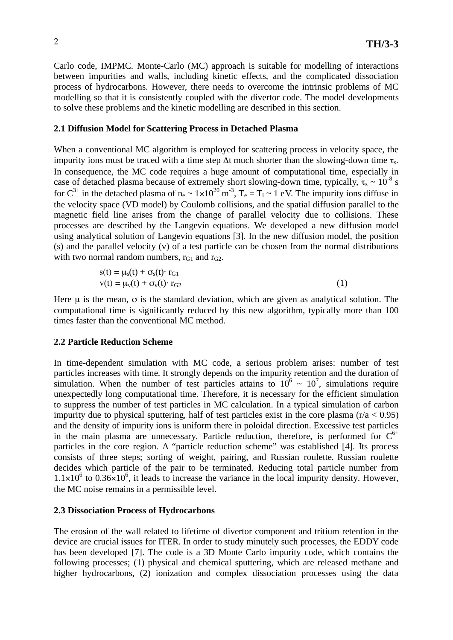Carlo code, IMPMC. Monte-Carlo (MC) approach is suitable for modelling of interactions between impurities and walls, including kinetic effects, and the complicated dissociation process of hydrocarbons. However, there needs to overcome the intrinsic problems of MC modelling so that it is consistently coupled with the divertor code. The model developments to solve these problems and the kinetic modelling are described in this section.

## **2.1 Diffusion Model for Scattering Process in Detached Plasma**

When a conventional MC algorithm is employed for scattering process in velocity space, the impurity ions must be traced with a time step  $\Delta t$  much shorter than the slowing-down time  $\tau_s$ . In consequence, the MC code requires a huge amount of computational time, especially in case of detached plasma because of extremely short slowing-down time, typically,  $\tau_s \sim 10^{-8}$  s for  $C^{3+}$  in the detached plasma of  $n_e \sim 1 \times 10^{20}$  m<sup>-3</sup>,  $T_e = T_i \sim 1$  eV. The impurity ions diffuse in the velocity space (VD model) by Coulomb collisions, and the spatial diffusion parallel to the magnetic field line arises from the change of parallel velocity due to collisions. These processes are described by the Langevin equations. We developed a new diffusion model using analytical solution of Langevin equations [3]. In the new diffusion model, the position (s) and the parallel velocity (v) of a test particle can be chosen from the normal distributions with two normal random numbers,  $r_{G1}$  and  $r_{G2}$ .

$$
s(t) = \mu_s(t) + \sigma_s(t) \cdot r_{G1}
$$
  
\n
$$
v(t) = \mu_v(t) + \sigma_v(t) \cdot r_{G2}
$$
 (1)

Here  $\mu$  is the mean,  $\sigma$  is the standard deviation, which are given as analytical solution. The computational time is significantly reduced by this new algorithm, typically more than 100 times faster than the conventional MC method.

## **2.2 Particle Reduction Scheme**

In time-dependent simulation with MC code, a serious problem arises: number of test particles increases with time. It strongly depends on the impurity retention and the duration of simulation. When the number of test particles attains to  $10^6 \sim 10^7$ , simulations require unexpectedly long computational time. Therefore, it is necessary for the efficient simulation to suppress the number of test particles in MC calculation. In a typical simulation of carbon impurity due to physical sputtering, half of test particles exist in the core plasma  $(r/a < 0.95)$ and the density of impurity ions is uniform there in poloidal direction. Excessive test particles in the main plasma are unnecessary. Particle reduction, therefore, is performed for  $C^{6+}$ particles in the core region. A "particle reduction scheme" was established [4]. Its process consists of three steps; sorting of weight, pairing, and Russian roulette. Russian roulette decides which particle of the pair to be terminated. Reducing total particle number from  $1.1 \times 10^6$  to  $0.36 \times 10^6$ , it leads to increase the variance in the local impurity density. However, the MC noise remains in a permissible level.

### **2.3 Dissociation Process of Hydrocarbons**

The erosion of the wall related to lifetime of divertor component and tritium retention in the device are crucial issues for ITER. In order to study minutely such processes, the EDDY code has been developed [7]. The code is a 3D Monte Carlo impurity code, which contains the following processes; (1) physical and chemical sputtering, which are released methane and higher hydrocarbons, (2) ionization and complex dissociation processes using the data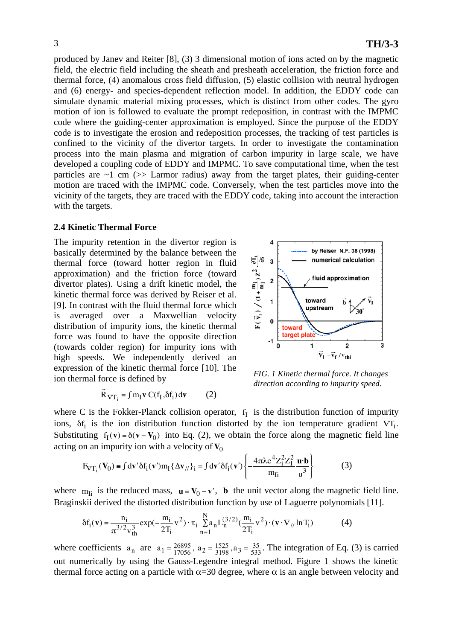produced by Janev and Reiter [8], (3) 3 dimensional motion of ions acted on by the magnetic field, the electric field including the sheath and presheath acceleration, the friction force and thermal force, (4) anomalous cross field diffusion, (5) elastic collision with neutral hydrogen and (6) energy- and species-dependent reflection model. In addition, the EDDY code can simulate dynamic material mixing processes, which is distinct from other codes. The gyro motion of ion is followed to evaluate the prompt redeposition, in contrast with the IMPMC code where the guiding-center approximation is employed. Since the purpose of the EDDY code is to investigate the erosion and redeposition processes, the tracking of test particles is confined to the vicinity of the divertor targets. In order to investigate the contamination process into the main plasma and migration of carbon impurity in large scale, we have developed a coupling code of EDDY and IMPMC. To save computational time, when the test particles are  $\sim$ 1 cm ( $\gg$  Larmor radius) away from the target plates, their guiding-center motion are traced with the IMPMC code. Conversely, when the test particles move into the vicinity of the targets, they are traced with the EDDY code, taking into account the interaction with the targets.

#### **2.4 Kinetic Thermal Force**

Ĭ  $\vec{r}$ 

The impurity retention in the divertor region is basically determined by the balance between the thermal force (toward hotter region in fluid approximation) and the friction force (toward divertor plates). Using a drift kinetic model, the kinetic thermal force was derived by Reiser et al. [9]. In contrast with the fluid thermal force which is averaged over a Maxwellian velocity distribution of impurity ions, the kinetic thermal force was found to have the opposite direction (towards colder region) for impurity ions with high speeds. We independently derived an expression of the kinetic thermal force [10]. The ion thermal force is defined by

 $\overline{R}_{\nabla T_i} = \int m_I \mathbf{v} C(f_I, \delta f_i) d\mathbf{v}$  (2)



*FIG. 1 Kinetic thermal force. It changes direction according to impurity speed.* 

where C is the Fokker-Planck collision operator,  $f<sub>I</sub>$  is the distribution function of impurity ions,  $\delta f_i$  is the ion distribution function distorted by the ion temperature gradient  $\nabla T_i$ . Substituting  $f_1(v) = \delta(v - V_0)$  into Eq. (2), we obtain the force along the magnetic field line acting on an impurity ion with a velocity of  $V_0$ 

$$
F_{\nabla T_i}(\mathbf{V}_0) = \int dv' \delta f_i(\mathbf{v}') m_I \{ \Delta \mathbf{v}_{//} \}_i = \int dv' \delta f_i(\mathbf{v}') \left\{ -\frac{4\pi \lambda e^4 Z_i^2 Z_I^2}{m_{Ii}} \frac{\mathbf{u} \cdot \mathbf{b}}{u^3} \right\} \tag{3}
$$

where  $m_{\text{Ii}}$  is the reduced mass,  $\mathbf{u} = \mathbf{V}_0 - \mathbf{v}'$ , **b** the unit vector along the magnetic field line. Braginskii derived the distorted distribution function by use of Laguerre polynomials [11].

$$
\delta f_i(\mathbf{v}) = \frac{n_i}{\pi^{3/2} v_{th}^3} \exp(-\frac{m_i}{2T_i} v^2) \cdot \tau_i \sum_{n=1}^{N} a_n L_n^{(3/2)}(\frac{m_i}{2T_i} v^2) \cdot (\mathbf{v} \cdot \nabla_{//} \ln T_i)
$$
(4)

where coefficients  $a_n$  are  $a_1 = \frac{26895}{17056}$ ,  $a_2 = \frac{1525}{3198}$ ,  $a_3 = \frac{35}{533}$ . The integration of Eq. (3) is carried out numerically by using the Gauss-Legendre integral method. Figure 1 shows the kinetic thermal force acting on a particle with  $\alpha$ =30 degree, where  $\alpha$  is an angle between velocity and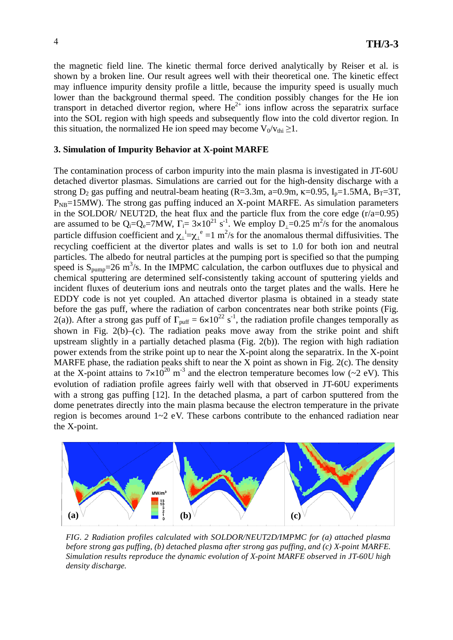the magnetic field line. The kinetic thermal force derived analytically by Reiser et al. is shown by a broken line. Our result agrees well with their theoretical one. The kinetic effect may influence impurity density profile a little, because the impurity speed is usually much lower than the background thermal speed. The condition possibly changes for the He ion transport in detached divertor region, where  $He^{2+}$  ions inflow across the separatrix surface into the SOL region with high speeds and subsequently flow into the cold divertor region. In this situation, the normalized He ion speed may become  $V_0/v_{\text{th}} \geq 1$ .

### **3. Simulation of Impurity Behavior at X-point MARFE**

The contamination process of carbon impurity into the main plasma is investigated in JT-60U detached divertor plasmas. Simulations are carried out for the high-density discharge with a strong  $D_2$  gas puffing and neutral-beam heating (R=3.3m, a=0.9m,  $\kappa$ =0.95, I<sub>p</sub>=1.5MA, B<sub>T</sub>=3T,  $P_{NB}$ =15MW). The strong gas puffing induced an X-point MARFE. As simulation parameters in the SOLDOR/ NEUT2D, the heat flux and the particle flux from the core edge  $(r/a=0.95)$ are assumed to be  $Q_i = Q_e = 7MW$ ,  $\Gamma_i = 3 \times 10^{21} \text{ s}^{-1}$ . We employ  $D_{\perp} = 0.25 \text{ m}^2/\text{s}$  for the anomalous particle diffusion coefficient and  $\chi_{\perp}^i = \chi_{\perp}^e = 1$  m<sup>2</sup>/s for the anomalous thermal diffusivities. The recycling coefficient at the divertor plates and walls is set to 1.0 for both ion and neutral particles. The albedo for neutral particles at the pumping port is specified so that the pumping speed is  $S_{\text{pump}} = 26 \text{ m}^3/\text{s}$ . In the IMPMC calculation, the carbon outfluxes due to physical and chemical sputtering are determined self-consistently taking account of sputtering yields and incident fluxes of deuterium ions and neutrals onto the target plates and the walls. Here he EDDY code is not yet coupled. An attached divertor plasma is obtained in a steady state before the gas puff, where the radiation of carbon concentrates near both strike points (Fig. 2(a)). After a strong gas puff of  $\Gamma_{\text{puff}} = 6 \times 10^{22} \text{ s}^{-1}$ , the radiation profile changes temporally as shown in Fig. 2(b)–(c). The radiation peaks move away from the strike point and shift upstream slightly in a partially detached plasma (Fig. 2(b)). The region with high radiation power extends from the strike point up to near the X-point along the separatrix. In the X-point MARFE phase, the radiation peaks shift to near the X point as shown in Fig. 2(c). The density at the X-point attains to  $7\times10^{20}$  m<sup>-3</sup> and the electron temperature becomes low (~2 eV). This evolution of radiation profile agrees fairly well with that observed in JT-60U experiments with a strong gas puffing [12]. In the detached plasma, a part of carbon sputtered from the dome penetrates directly into the main plasma because the electron temperature in the private region is becomes around 1~2 eV. These carbons contribute to the enhanced radiation near the X-point.



*FIG. 2 Radiation profiles calculated with SOLDOR/NEUT2D/IMPMC for (a) attached plasma before strong gas puffing, (b) detached plasma after strong gas puffing, and (c) X-point MARFE. Simulation results reproduce the dynamic evolution of X-point MARFE observed in JT-60U high density discharge.*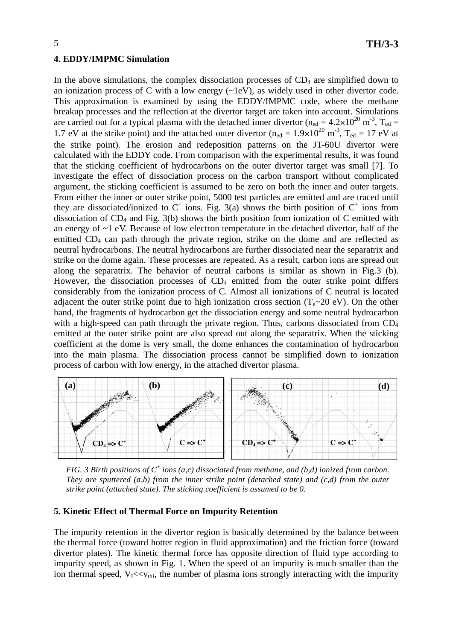#### **4. EDDY/IMPMC Simulation**

In the above simulations, the complex dissociation processes of  $CD_4$  are simplified down to an ionization process of C with a low energy (~1eV), as widely used in other divertor code. This approximation is examined by using the EDDY/IMPMC code, where the methane breakup processes and the reflection at the divertor target are taken into account. Simulations are carried out for a typical plasma with the detached inner divertor ( $n_{\text{ed}} = 4.2 \times 10^{20} \text{ m}^{-3}$ , T<sub>ed</sub> = 1.7 eV at the strike point) and the attached outer divertor ( $n_{\text{ed}} = 1.9 \times 10^{20} \text{ m}^{-3}$ ,  $T_{\text{ed}} = 17 \text{ eV}$  at the strike point). The erosion and redeposition patterns on the JT-60U divertor were calculated with the EDDY code. From comparison with the experimental results, it was found that the sticking coefficient of hydrocarbons on the outer divertor target was small [7]. To investigate the effect of dissociation process on the carbon transport without complicated argument, the sticking coefficient is assumed to be zero on both the inner and outer targets. From either the inner or outer strike point, 5000 test particles are emitted and are traced until they are dissociated/ionized to  $C^+$  ions. Fig. 3(a) shows the birth position of  $C^+$  ions from dissociation of  $CD_4$  and Fig. 3(b) shows the birth position from ionization of C emitted with an energy of ~1 eV. Because of low electron temperature in the detached divertor, half of the emitted CD4 can path through the private region, strike on the dome and are reflected as neutral hydrocarbons. The neutral hydrocarbons are further dissociated near the separatrix and strike on the dome again. These processes are repeated. As a result, carbon ions are spread out along the separatrix. The behavior of neutral carbons is similar as shown in Fig.3 (b). However, the dissociation processes of  $CD_4$  emitted from the outer strike point differs considerably from the ionization process of C. Almost all ionizations of C neutral is located adjacent the outer strike point due to high ionization cross section  $(T_e \sim 20 \text{ eV})$ . On the other hand, the fragments of hydrocarbon get the dissociation energy and some neutral hydrocarbon with a high-speed can path through the private region. Thus, carbons dissociated from CD<sub>4</sub> emitted at the outer strike point are also spread out along the separatrix. When the sticking coefficient at the dome is very small, the dome enhances the contamination of hydrocarbon into the main plasma. The dissociation process cannot be simplified down to ionization process of carbon with low energy, in the attached divertor plasma.



FIG. 3 Birth positions of  $C^+$  ions (a,c) dissociated from methane, and (b,d) ionized from carbon. *They are sputtered (a,b) from the inner strike point (detached state) and (c,d) from the outer strike point (attached state). The sticking coefficient is assumed to be 0.*

### **5. Kinetic Effect of Thermal Force on Impurity Retention**

The impurity retention in the divertor region is basically determined by the balance between the thermal force (toward hotter region in fluid approximation) and the friction force (toward divertor plates). The kinetic thermal force has opposite direction of fluid type according to impurity speed, as shown in Fig. 1. When the speed of an impurity is much smaller than the ion thermal speed,  $V_I \ll v_{\text{thi}}$ , the number of plasma ions strongly interacting with the impurity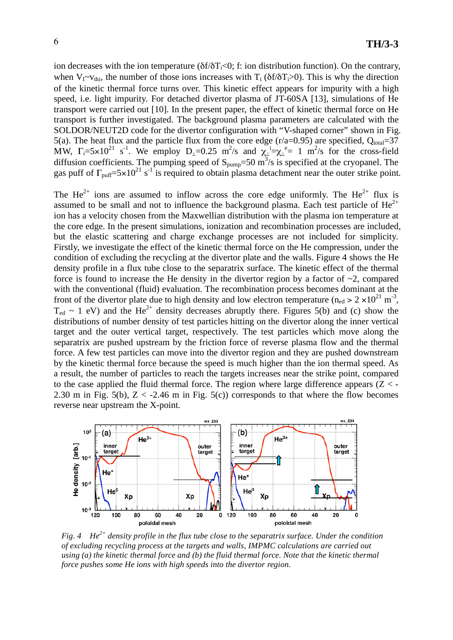ion decreases with the ion temperature ( $\delta f/\delta T_i < 0$ ; f: ion distribution function). On the contrary, when  $V_{I}$ ~ $V_{thi}$ , the number of those ions increases with  $T_i$  ( $\delta f/\delta T_i$ >0). This is why the direction of the kinetic thermal force turns over. This kinetic effect appears for impurity with a high speed, i.e. light impurity. For detached divertor plasma of JT-60SA [13], simulations of He transport were carried out [10]. In the present paper, the effect of kinetic thermal force on He transport is further investigated. The background plasma parameters are calculated with the SOLDOR/NEUT2D code for the divertor configuration with "V-shaped corner" shown in Fig. 5(a). The heat flux and the particle flux from the core edge  $(r/a=0.95)$  are specified,  $Q_{total}=37$ MW,  $\Gamma_i = 5 \times 10^{21}$  s<sup>-1</sup>. We employ  $D_i = 0.25$  m<sup>2</sup>/s and  $\chi_i = \chi_i^2 = 1$  m<sup>2</sup>/s for the cross-field diffusion coefficients. The pumping speed of  $S_{pump}=50 \text{ m}^3/\text{s}$  is specified at the cryopanel. The gas puff of  $\Gamma_{\text{puff}}=5\times10^{21} \text{ s}^{-1}$  is required to obtain plasma detachment near the outer strike point.

The He<sup>2+</sup> ions are assumed to inflow across the core edge uniformly. The He<sup>2+</sup> flux is assumed to be small and not to influence the background plasma. Each test particle of  $He^{2+}$ ion has a velocity chosen from the Maxwellian distribution with the plasma ion temperature at the core edge. In the present simulations, ionization and recombination processes are included, but the elastic scattering and charge exchange processes are not included for simplicity. Firstly, we investigate the effect of the kinetic thermal force on the He compression, under the condition of excluding the recycling at the divertor plate and the walls. Figure 4 shows the He density profile in a flux tube close to the separatrix surface. The kinetic effect of the thermal force is found to increase the He density in the divertor region by a factor of  $\sim$ 2, compared with the conventional (fluid) evaluation. The recombination process becomes dominant at the front of the divertor plate due to high density and low electron temperature ( $n_{\text{ed}} > 2 \times 10^{21} \text{ m}^{-3}$ ,  $T_{\text{ed}} \sim 1$  eV) and the He<sup>2+</sup> density decreases abruptly there. Figures 5(b) and (c) show the distributions of number density of test particles hitting on the divertor along the inner vertical target and the outer vertical target, respectively. The test particles which move along the separatrix are pushed upstream by the friction force of reverse plasma flow and the thermal force. A few test particles can move into the divertor region and they are pushed downstream by the kinetic thermal force because the speed is much higher than the ion thermal speed. As a result, the number of particles to reach the targets increases near the strike point, compared to the case applied the fluid thermal force. The region where large difference appears  $(Z < -1)$ 2.30 m in Fig. 5(b),  $Z < -2.46$  m in Fig. 5(c)) corresponds to that where the flow becomes reverse near upstream the X-point.



*Fig. 4 He2+ density profile in the flux tube close to the separatrix surface. Under the condition of excluding recycling process at the targets and walls, IMPMC calculations are carried out using (a) the kinetic thermal force and (b) the fluid thermal force. Note that the kinetic thermal force pushes some He ions with high speeds into the divertor region.*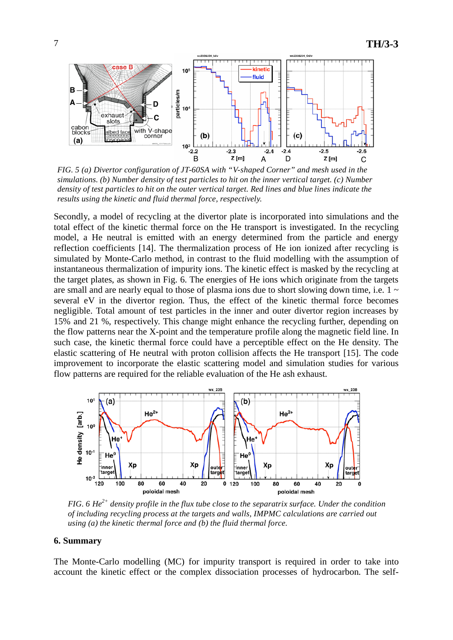

*FIG. 5 (a) Divertor configuration of JT-60SA with "V-shaped Corner" and mesh used in the simulations. (b) Number density of test particles to hit on the inner vertical target. (c) Number density of test particles to hit on the outer vertical target. Red lines and blue lines indicate the results using the kinetic and fluid thermal force, respectively.* 

Secondly, a model of recycling at the divertor plate is incorporated into simulations and the total effect of the kinetic thermal force on the He transport is investigated. In the recycling model, a He neutral is emitted with an energy determined from the particle and energy reflection coefficients [14]. The thermalization process of He ion ionized after recycling is simulated by Monte-Carlo method, in contrast to the fluid modelling with the assumption of instantaneous thermalization of impurity ions. The kinetic effect is masked by the recycling at the target plates, as shown in Fig. 6. The energies of He ions which originate from the targets are small and are nearly equal to those of plasma ions due to short slowing down time, i.e.  $1 \sim$ several eV in the divertor region. Thus, the effect of the kinetic thermal force becomes negligible. Total amount of test particles in the inner and outer divertor region increases by 15% and 21 %, respectively. This change might enhance the recycling further, depending on the flow patterns near the X-point and the temperature profile along the magnetic field line. In such case, the kinetic thermal force could have a perceptible effect on the He density. The elastic scattering of He neutral with proton collision affects the He transport [15]. The code improvement to incorporate the elastic scattering model and simulation studies for various flow patterns are required for the reliable evaluation of the He ash exhaust.



*FIG. 6 He2+ density profile in the flux tube close to the separatrix surface. Under the condition of including recycling process at the targets and walls, IMPMC calculations are carried out using (a) the kinetic thermal force and (b) the fluid thermal force.* 

### **6. Summary**

The Monte-Carlo modelling (MC) for impurity transport is required in order to take into account the kinetic effect or the complex dissociation processes of hydrocarbon. The self